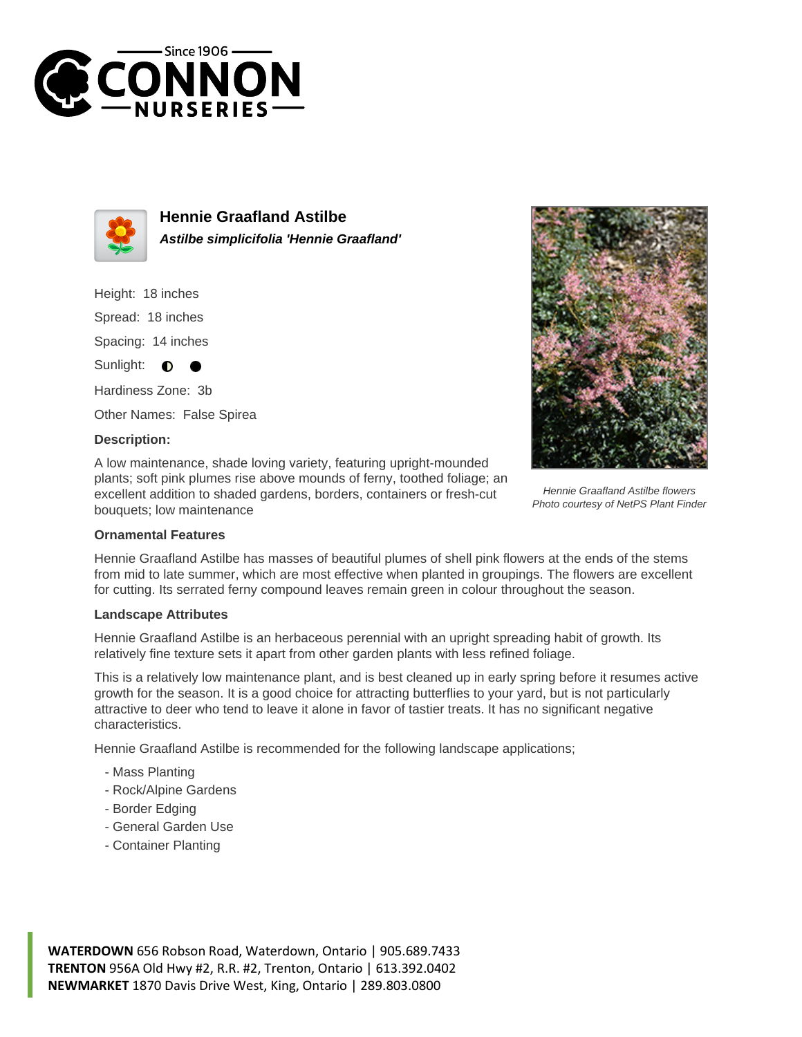



**Hennie Graafland Astilbe Astilbe simplicifolia 'Hennie Graafland'**

Height: 18 inches Spread: 18 inches Spacing: 14 inches Sunlight: **O** Hardiness Zone: 3b

Other Names: False Spirea

## **Description:**

A low maintenance, shade loving variety, featuring upright-mounded plants; soft pink plumes rise above mounds of ferny, toothed foliage; an excellent addition to shaded gardens, borders, containers or fresh-cut bouquets; low maintenance



Hennie Graafland Astilbe flowers Photo courtesy of NetPS Plant Finder

## **Ornamental Features**

Hennie Graafland Astilbe has masses of beautiful plumes of shell pink flowers at the ends of the stems from mid to late summer, which are most effective when planted in groupings. The flowers are excellent for cutting. Its serrated ferny compound leaves remain green in colour throughout the season.

## **Landscape Attributes**

Hennie Graafland Astilbe is an herbaceous perennial with an upright spreading habit of growth. Its relatively fine texture sets it apart from other garden plants with less refined foliage.

This is a relatively low maintenance plant, and is best cleaned up in early spring before it resumes active growth for the season. It is a good choice for attracting butterflies to your yard, but is not particularly attractive to deer who tend to leave it alone in favor of tastier treats. It has no significant negative characteristics.

Hennie Graafland Astilbe is recommended for the following landscape applications;

- Mass Planting
- Rock/Alpine Gardens
- Border Edging
- General Garden Use
- Container Planting

**WATERDOWN** 656 Robson Road, Waterdown, Ontario | 905.689.7433 **TRENTON** 956A Old Hwy #2, R.R. #2, Trenton, Ontario | 613.392.0402 **NEWMARKET** 1870 Davis Drive West, King, Ontario | 289.803.0800